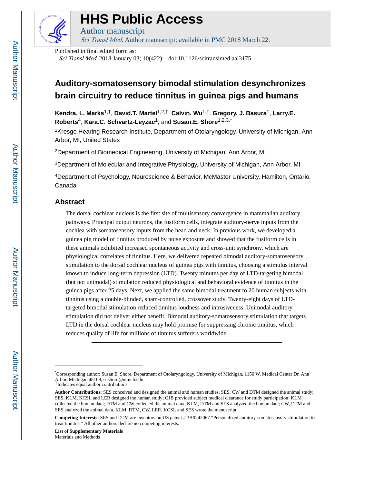

# **HHS Public Access**

Author manuscript Sci Transl Med. Author manuscript; available in PMC 2018 March 22.

Published in final edited form as:

Sci Transl Med. 2018 January 03; 10(422): . doi:10.1126/scitranslmed.aal3175.

## **Auditory-somatosensory bimodal stimulation desynchronizes brain circuitry to reduce tinnitus in guinea pigs and humans**

**Kendra. L. Marks**1,†, **David.T. Martel**1,2,†, **Calvin. Wu**1,†, **Gregory. J. Basura**1, **Larry.E. Roberts**4, **Kara.C. Schvartz-Leyzac**1, and **Susan.E. Shore**1,2,3,\*

<sup>1</sup>Kresge Hearing Research Institute, Department of Otolaryngology, University of Michigan, Ann Arbor, MI, United States

<sup>2</sup>Department of Biomedical Engineering, University of Michigan, Ann Arbor, MI

<sup>3</sup>Department of Molecular and Integrative Physiology, University of Michigan, Ann Arbor, MI

<sup>4</sup>Department of Psychology, Neuroscience & Behavior, McMaster University, Hamilton, Ontario, Canada

## **Abstract**

The dorsal cochlear nucleus is the first site of multisensory convergence in mammalian auditory pathways. Principal output neurons, the fusiform cells, integrate auditory-nerve inputs from the cochlea with somatosensory inputs from the head and neck. In previous work, we developed a guinea pig model of tinnitus produced by noise exposure and showed that the fusiform cells in these animals exhibited increased spontaneous activity and cross-unit synchrony, which are physiological correlates of tinnitus. Here, we delivered repeated bimodal auditory-somatosensory stimulation to the dorsal cochlear nucleus of guinea pigs with tinnitus, choosing a stimulus interval known to induce long-term depression (LTD). Twenty minutes per day of LTD-targeting bimodal (but not unimodal) stimulation reduced physiological and behavioral evidence of tinnitus in the guinea pigs after 25 days. Next, we applied the same bimodal treatment to 20 human subjects with tinnitus using a double-blinded, sham-controlled, crossover study. Twenty-eight days of LTDtargeted bimodal stimulation reduced tinnitus loudness and intrusiveness. Unimodal auditory stimulation did not deliver either benefit. Bimodal auditory-somatosensory stimulation that targets LTD in the dorsal cochlear nucleus may hold promise for suppressing chronic tinnitus, which reduces quality of life for millions of tinnitus sufferers worldwide.

**List of Supplementary Materials** Materials and Methods

<sup>\*</sup>Corresponding author: Susan E. Shore, Department of Otolaryngology, University of Michigan, 1150 W. Medical Center Dr. Ann Arbor, Michigan 48109, sushore@umich.edu. †Indicates equal author contributions

**Author Contributions:** SES conceived and designed the animal and human studies. SES, CW and DTM designed the animal study; SES, KLM, KCSL and LER designed the human study; GJB provided subject medical clearance for study participation; KLM collected the human data; DTM and CW collected the animal data; KLM, DTM and SES analyzed the human data; CW, DTM and SES analyzed the animal data. KLM, DTM, CW, LER, KCSL and SES wrote the manuscript.

**Competing Interests:** SES and DTM are inventors on US patent # 3A9242067 "Personalized auditory-somatosensory stimulation to treat tinnitus." All other authors declare no competing interests.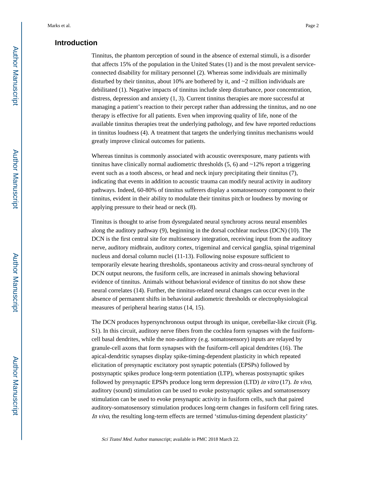## **Introduction**

Tinnitus, the phantom perception of sound in the absence of external stimuli, is a disorder that affects 15% of the population in the United States (1) and is the most prevalent serviceconnected disability for military personnel (2). Whereas some individuals are minimally disturbed by their tinnitus, about 10% are bothered by it, and  $\sim$ 2 million individuals are debilitated (1). Negative impacts of tinnitus include sleep disturbance, poor concentration, distress, depression and anxiety (1, 3). Current tinnitus therapies are more successful at managing a patient's reaction to their percept rather than addressing the tinnitus, and no one therapy is effective for all patients. Even when improving quality of life, none of the available tinnitus therapies treat the underlying pathology, and few have reported reductions in tinnitus loudness (4). A treatment that targets the underlying tinnitus mechanisms would greatly improve clinical outcomes for patients.

Whereas tinnitus is commonly associated with acoustic overexposure, many patients with tinnitus have clinically normal audiometric thresholds  $(5, 6)$  and  $\sim$ 12% report a triggering event such as a tooth abscess, or head and neck injury precipitating their tinnitus (7), indicating that events in addition to acoustic trauma can modify neural activity in auditory pathways. Indeed, 60-80% of tinnitus sufferers display a somatosensory component to their tinnitus, evident in their ability to modulate their tinnitus pitch or loudness by moving or applying pressure to their head or neck (8).

Tinnitus is thought to arise from dysregulated neural synchrony across neural ensembles along the auditory pathway (9), beginning in the dorsal cochlear nucleus (DCN) (10). The DCN is the first central site for multisensory integration, receiving input from the auditory nerve, auditory midbrain, auditory cortex, trigeminal and cervical ganglia, spinal trigeminal nucleus and dorsal column nuclei (11-13). Following noise exposure sufficient to temporarily elevate hearing thresholds, spontaneous activity and cross-neural synchrony of DCN output neurons, the fusiform cells, are increased in animals showing behavioral evidence of tinnitus. Animals without behavioral evidence of tinnitus do not show these neural correlates (14). Further, the tinnitus-related neural changes can occur even in the absence of permanent shifts in behavioral audiometric thresholds or electrophysiological measures of peripheral hearing status (14, 15).

The DCN produces hypersynchronous output through its unique, cerebellar-like circuit (Fig. S1). In this circuit, auditory nerve fibers from the cochlea form synapses with the fusiformcell basal dendrites, while the non-auditory (e.g. somatosensory) inputs are relayed by granule-cell axons that form synapses with the fusiform-cell apical dendrites (16). The apical-dendritic synapses display spike-timing-dependent plasticity in which repeated elicitation of presynaptic excitatory post synaptic potentials (EPSPs) followed by postsynaptic spikes produce long-term potentiation (LTP), whereas postsynaptic spikes followed by presynaptic EPSPs produce long term depression (LTD) in vitro (17). In vivo, auditory (sound) stimulation can be used to evoke postsynaptic spikes and somatosensory stimulation can be used to evoke presynaptic activity in fusiform cells, such that paired auditory-somatosensory stimulation produces long-term changes in fusiform cell firing rates. In vivo, the resulting long-term effects are termed 'stimulus-timing dependent plasticity'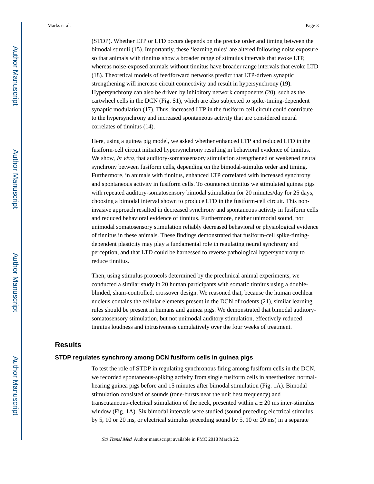(STDP). Whether LTP or LTD occurs depends on the precise order and timing between the bimodal stimuli (15). Importantly, these 'learning rules' are altered following noise exposure so that animals with tinnitus show a broader range of stimulus intervals that evoke LTP, whereas noise-exposed animals without tinnitus have broader range intervals that evoke LTD (18). Theoretical models of feedforward networks predict that LTP-driven synaptic strengthening will increase circuit connectivity and result in hypersynchrony (19). Hypersynchrony can also be driven by inhibitory network components (20), such as the cartwheel cells in the DCN (Fig. S1), which are also subjected to spike-timing-dependent synaptic modulation (17). Thus, increased LTP in the fusiform cell circuit could contribute to the hypersynchrony and increased spontaneous activity that are considered neural correlates of tinnitus (14).

Here, using a guinea pig model, we asked whether enhanced LTP and reduced LTD in the fusiform-cell circuit initiated hypersynchrony resulting in behavioral evidence of tinnitus. We show, in vivo, that auditory-somatosensory stimulation strengthened or weakened neural synchrony between fusiform cells, depending on the bimodal-stimulus order and timing. Furthermore, in animals with tinnitus, enhanced LTP correlated with increased synchrony and spontaneous activity in fusiform cells. To counteract tinnitus we stimulated guinea pigs with repeated auditory-somatosensory bimodal stimulation for 20 minutes/day for 25 days, choosing a bimodal interval shown to produce LTD in the fusiform-cell circuit. This noninvasive approach resulted in decreased synchrony and spontaneous activity in fusiform cells and reduced behavioral evidence of tinnitus. Furthermore, neither unimodal sound, nor unimodal somatosensory stimulation reliably decreased behavioral or physiological evidence of tinnitus in these animals. These findings demonstrated that fusiform-cell spike-timingdependent plasticity may play a fundamental role in regulating neural synchrony and perception, and that LTD could be harnessed to reverse pathological hypersynchrony to reduce tinnitus.

Then, using stimulus protocols determined by the preclinical animal experiments, we conducted a similar study in 20 human participants with somatic tinnitus using a doubleblinded, sham-controlled, crossover design. We reasoned that, because the human cochlear nucleus contains the cellular elements present in the DCN of rodents (21), similar learning rules should be present in humans and guinea pigs. We demonstrated that bimodal auditorysomatosensory stimulation, but not unimodal auditory stimulation, effectively reduced tinnitus loudness and intrusiveness cumulatively over the four weeks of treatment.

## **Results**

#### **STDP regulates synchrony among DCN fusiform cells in guinea pigs**

To test the role of STDP in regulating synchronous firing among fusiform cells in the DCN, we recorded spontaneous-spiking activity from single fusiform cells in anesthetized normalhearing guinea pigs before and 15 minutes after bimodal stimulation (Fig. 1A). Bimodal stimulation consisted of sounds (tone-bursts near the unit best frequency) and transcutaneous-electrical stimulation of the neck, presented within  $a \pm 20$  ms inter-stimulus window (Fig. 1A). Six bimodal intervals were studied (sound preceding electrical stimulus by 5, 10 or 20 ms, or electrical stimulus preceding sound by 5, 10 or 20 ms) in a separate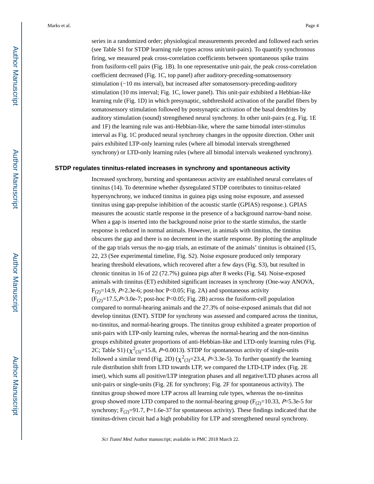series in a randomized order; physiological measurements preceded and followed each series (see Table S1 for STDP learning rule types across unit/unit-pairs). To quantify synchronous firing, we measured peak cross-correlation coefficients between spontaneous spike trains from fusiform-cell pairs (Fig. 1B). In one representative unit-pair, the peak cross-correlation coefficient decreased (Fig. 1C, top panel) after auditory-preceding-somatosensory stimulation (−10 ms interval), but increased after somatosensory-preceding-auditory stimulation (10 ms interval; Fig. 1C, lower panel). This unit-pair exhibited a Hebbian-like learning rule (Fig. 1D) in which presynaptic, subthreshold activation of the parallel fibers by somatosensory stimulation followed by postsynaptic activation of the basal dendrites by auditory stimulation (sound) strengthened neural synchrony. In other unit-pairs (e.g. Fig. 1E and 1F) the learning rule was anti-Hebbian-like, where the same bimodal inter-stimulus interval as Fig. 1C produced neural synchrony changes in the opposite direction. Other unit pairs exhibited LTP-only learning rules (where all bimodal intervals strengthened

synchrony) or LTD-only learning rules (where all bimodal intervals weakened synchrony).

#### **STDP regulates tinnitus-related increases in synchrony and spontaneous activity**

Increased synchrony, bursting and spontaneous activity are established neural correlates of tinnitus (14). To determine whether dysregulated STDP contributes to tinnitus-related hypersynchrony, we induced tinnitus in guinea pigs using noise exposure, and assessed tinnitus using gap-prepulse inhibition of the acoustic startle (GPIAS) response.). GPIAS measures the acoustic startle response in the presence of a background narrow-band noise. When a gap is inserted into the background noise prior to the startle stimulus, the startle response is reduced in normal animals. However, in animals with tinnitus, the tinnitus obscures the gap and there is no decrement in the startle response. By plotting the amplitude of the gap trials versus the no-gap trials, an estimate of the animals' tinnitus is obtained (15, 22, 23 (See experimental timeline, Fig. S2). Noise exposure produced only temporary hearing threshold elevations, which recovered after a few days (Fig. S3), but resulted in chronic tinnitus in 16 of 22 (72.7%) guinea pigs after 8 weeks (Fig. S4). Noise-exposed animals with tinnitus (ET) exhibited significant increases in synchrony (One-way ANOVA,  $F_{(2)}=14.9$ ,  $P=2.3e-6$ ; post-hoc P<0.05; Fig. 2A) and spontaneous activity  $(F<sub>(2)</sub>=17.5, P=3.0e-7; post-hoc P<0.05; Fig. 2B) across the fusiform-cell population$ compared to normal-hearing animals and the 27.3% of noise-exposed animals that did not develop tinnitus (ENT). STDP for synchrony was assessed and compared across the tinnitus, no-tinnitus, and normal-hearing groups. The tinnitus group exhibited a greater proportion of unit-pairs with LTP-only learning rules, whereas the normal-hearing and the non-tinnitus groups exhibited greater proportions of anti-Hebbian-like and LTD-only learning rules (Fig. 2C; Table S1)  $(\chi^2_{(3)}=15.8, P=0.0013)$ . STDP for spontaneous activity of single-units followed a similar trend (Fig. 2D) ( $\chi^2_{(3)}$ =23.4, P=3.3e-5). To further quantify the learning rule distribution shift from LTD towards LTP, we compared the LTD-LTP index (Fig. 2E inset), which sums all positive/LTP integration phases and all negative/LTD phases across all unit-pairs or single-units (Fig. 2E for synchrony; Fig. 2F for spontaneous activity). The tinnitus group showed more LTP across all learning rule types, whereas the no-tinnitus group showed more LTD compared to the normal-hearing group  $(F<sub>(2)</sub>=10.33, P=5.3e-5$  for synchrony;  $F_{(2)}=91.7$ , P=1.6e-37 for spontaneous activity). These findings indicated that the tinnitus-driven circuit had a high probability for LTP and strengthened neural synchrony.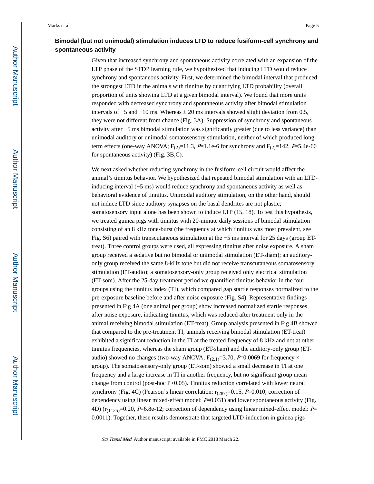## **Bimodal (but not unimodal) stimulation induces LTD to reduce fusiform-cell synchrony and spontaneous activity**

Given that increased synchrony and spontaneous activity correlated with an expansion of the LTP phase of the STDP learning rule, we hypothesized that inducing LTD would reduce synchrony and spontaneous activity. First, we determined the bimodal interval that produced the strongest LTD in the animals with tinnitus by quantifying LTD probability (overall proportion of units showing LTD at a given bimodal interval). We found that more units responded with decreased synchrony and spontaneous activity after bimodal stimulation intervals of  $-5$  and  $-10$  ms. Whereas  $\pm 20$  ms intervals showed slight deviation from 0.5, they were not different from chance (Fig. 3A). Suppression of synchrony and spontaneous activity after −5 ms bimodal stimulation was significantly greater (due to less variance) than unimodal auditory or unimodal somatosensory stimulation, neither of which produced longterm effects (one-way ANOVA;  $F_{(2)}=11.3$ ,  $P=1.1e-6$  for synchrony and  $F_{(2)}=142$ ,  $P=5.4e-66$ for spontaneous activity) (Fig. 3B,C).

We next asked whether reducing synchrony in the fusiform-cell circuit would affect the animal's tinnitus behavior. We hypothesized that repeated bimodal stimulation with an LTDinducing interval (−5 ms) would reduce synchrony and spontaneous activity as well as behavioral evidence of tinnitus. Unimodal auditory stimulation, on the other hand, should not induce LTD since auditory synapses on the basal dendrites are not plastic; somatosensory input alone has been shown to induce LTP (15, 18). To test this hypothesis, we treated guinea pigs with tinnitus with 20-minute daily sessions of bimodal stimulation consisting of an 8 kHz tone-burst (the frequency at which tinnitus was most prevalent, see Fig. S6) paired with transcutaneous stimulation at the −5 ms interval for 25 days (group ETtreat). Three control groups were used, all expressing tinnitus after noise exposure. A sham group received a sedative but no bimodal or unimodal stimulation (ET-sham); an auditoryonly group received the same 8-kHz tone but did not receive transcutaneous somatosensory stimulation (ET-audio); a somatosensory-only group received only electrical stimulation (ET-som). After the 25-day treatment period we quantified tinnitus behavior in the four groups using the tinnitus index (TI), which compared gap startle responses normalized to the pre-exposure baseline before and after noise exposure (Fig. S4). Representative findings presented in Fig 4A (one animal per group) show increased normalized startle responses after noise exposure, indicating tinnitus, which was reduced after treatment only in the animal receiving bimodal stimulation (ET-treat). Group analysis presented in Fig 4B showed that compared to the pre-treatment TI, animals receiving bimodal stimulation (ET-treat) exhibited a significant reduction in the TI at the treated frequency of 8 kHz and not at other tinnitus frequencies, whereas the sham group (ET-sham) and the auditory-only group (ETaudio) showed no changes (two-way ANOVA;  $F_{(2,1)}=3.70$ ,  $P=0.0069$  for frequency  $\times$ group). The somatosensory-only group (ET-som) showed a small decrease in TI at one frequency and a large increase in TI in another frequency, but no significant group mean change from control (post-hoc P>0.05). Tinnitus reduction correlated with lower neural synchrony (Fig. 4C) (Pearson's linear correlation:  $r_{(287)}=0.15$ , P=0.010; correction of dependency using linear mixed-effect model:  $P=0.031$ ) and lower spontaneous activity (Fig. 4D) ( $r_{(1125)}$ =0.20, P=6.8e-12; correction of dependency using linear mixed-effect model: P= 0.0011). Together, these results demonstrate that targeted LTD-induction in guinea pigs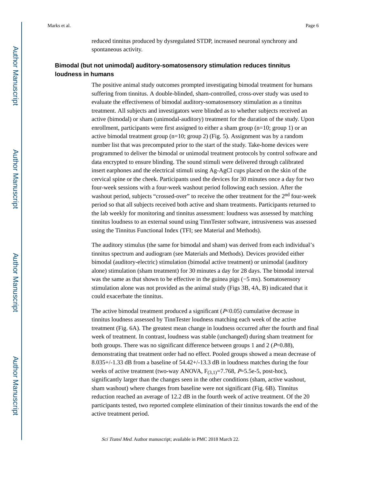reduced tinnitus produced by dysregulated STDP, increased neuronal synchrony and spontaneous activity.

## **Bimodal (but not unimodal) auditory-somatosensory stimulation reduces tinnitus loudness in humans**

The positive animal study outcomes prompted investigating bimodal treatment for humans suffering from tinnitus. A double-blinded, sham-controlled, cross-over study was used to evaluate the effectiveness of bimodal auditory-somatosensory stimulation as a tinnitus treatment. All subjects and investigators were blinded as to whether subjects received an active (bimodal) or sham (unimodal-auditory) treatment for the duration of the study. Upon enrollment, participants were first assigned to either a sham group (n=10; group 1) or an active bimodal treatment group (n=10; group 2) (Fig. 5). Assignment was by a random number list that was precomputed prior to the start of the study. Take-home devices were programmed to deliver the bimodal or unimodal treatment protocols by control software and data encrypted to ensure blinding. The sound stimuli were delivered through calibrated insert earphones and the electrical stimuli using Ag-AgCl cups placed on the skin of the cervical spine or the cheek. Participants used the devices for 30 minutes once a day for two four-week sessions with a four-week washout period following each session. After the washout period, subjects "crossed-over" to receive the other treatment for the 2<sup>nd</sup> four-week period so that all subjects received both active and sham treatments. Participants returned to the lab weekly for monitoring and tinnitus assessment: loudness was assessed by matching tinnitus loudness to an external sound using TinnTester software, intrusiveness was assessed using the Tinnitus Functional Index (TFI; see Material and Methods).

The auditory stimulus (the same for bimodal and sham) was derived from each individual's tinnitus spectrum and audiogram (see Materials and Methods). Devices provided either bimodal (auditory-electric) stimulation (bimodal active treatment) or unimodal (auditory alone) stimulation (sham treatment) for 30 minutes a day for 28 days. The bimodal interval was the same as that shown to be effective in the guinea pigs (−5 ms). Somatosensory stimulation alone was not provided as the animal study (Figs 3B, 4A, B) indicated that it could exacerbate the tinnitus.

The active bimodal treatment produced a significant  $(P<0.05)$  cumulative decrease in tinnitus loudness assessed by TinnTester loudness matching each week of the active treatment (Fig. 6A). The greatest mean change in loudness occurred after the fourth and final week of treatment. In contrast, loudness was stable (unchanged) during sham treatment for both groups. There was no significant difference between groups 1 and 2 ( $P=0.88$ ), demonstrating that treatment order had no effect. Pooled groups showed a mean decrease of 8.035+/-1.33 dB from a baseline of 54.42+/-13.3 dB in loudness matches during the four weeks of active treatment (two-way ANOVA,  $F_{(3,1)}=7.768$ ,  $P=5.5e-5$ , post-hoc), significantly larger than the changes seen in the other conditions (sham, active washout, sham washout) where changes from baseline were not significant (Fig. 6B). Tinnitus reduction reached an average of 12.2 dB in the fourth week of active treatment. Of the 20 participants tested, two reported complete elimination of their tinnitus towards the end of the active treatment period.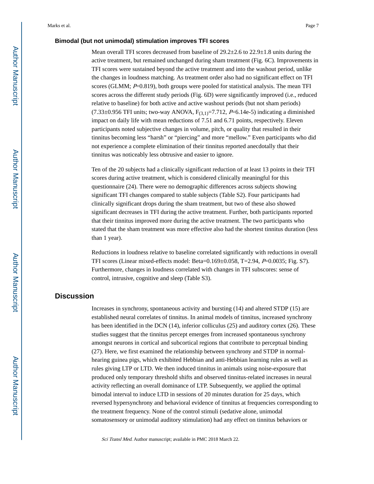#### **Bimodal (but not unimodal) stimulation improves TFI scores**

Mean overall TFI scores decreased from baseline of  $29.2\pm2.6$  to  $22.9\pm1.8$  units during the active treatment, but remained unchanged during sham treatment (Fig. 6C). Improvements in TFI scores were sustained beyond the active treatment and into the washout period, unlike the changes in loudness matching. As treatment order also had no significant effect on TFI scores (GLMM;  $P=0.819$ ), both groups were pooled for statistical analysis. The mean TFI scores across the different study periods (Fig. 6D) were significantly improved (i.e., reduced relative to baseline) for both active and active washout periods (but not sham periods)  $(7.33\pm0.956$  TFI units; two-way ANOVA,  $F_{(3,1)}=7.712$ ,  $P=6.14e-5$ ) indicating a diminished impact on daily life with mean reductions of 7.51 and 6.71 points, respectively. Eleven participants noted subjective changes in volume, pitch, or quality that resulted in their tinnitus becoming less "harsh" or "piercing" and more "mellow." Even participants who did not experience a complete elimination of their tinnitus reported anecdotally that their tinnitus was noticeably less obtrusive and easier to ignore.

Ten of the 20 subjects had a clinically significant reduction of at least 13 points in their TFI scores during active treatment, which is considered clinically meaningful for this questionnaire (24). There were no demographic differences across subjects showing significant TFI changes compared to stable subjects (Table S2). Four participants had clinically significant drops during the sham treatment, but two of these also showed significant decreases in TFI during the active treatment. Further, both participants reported that their tinnitus improved more during the active treatment. The two participants who stated that the sham treatment was more effective also had the shortest tinnitus duration (less than 1 year).

Reductions in loudness relative to baseline correlated significantly with reductions in overall TFI scores (Linear mixed-effects model: Beta=0.169±0.058, T=2.94, P=0.0035; Fig. S7). Furthermore, changes in loudness correlated with changes in TFI subscores: sense of control, intrusive, cognitive and sleep (Table S3).

## **Discussion**

Increases in synchrony, spontaneous activity and bursting (14) and altered STDP (15) are established neural correlates of tinnitus. In animal models of tinnitus, increased synchrony has been identified in the DCN (14), inferior colliculus (25) and auditory cortex (26). These studies suggest that the tinnitus percept emerges from increased spontaneous synchrony amongst neurons in cortical and subcortical regions that contribute to perceptual binding (27). Here, we first examined the relationship between synchrony and STDP in normalhearing guinea pigs, which exhibited Hebbian and anti-Hebbian learning rules as well as rules giving LTP or LTD. We then induced tinnitus in animals using noise-exposure that produced only temporary threshold shifts and observed tinnitus-related increases in neural activity reflecting an overall dominance of LTP. Subsequently, we applied the optimal bimodal interval to induce LTD in sessions of 20 minutes duration for 25 days, which reversed hypersynchrony and behavioral evidence of tinnitus at frequencies corresponding to the treatment frequency. None of the control stimuli (sedative alone, unimodal somatosensory or unimodal auditory stimulation) had any effect on tinnitus behaviors or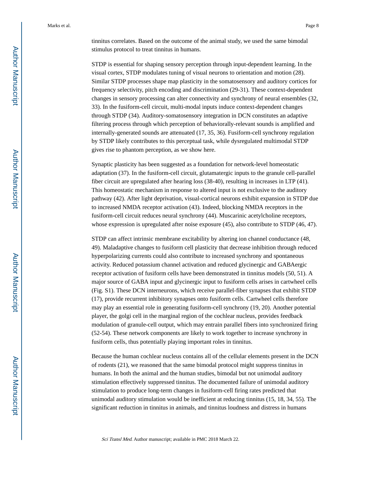tinnitus correlates. Based on the outcome of the animal study, we used the same bimodal stimulus protocol to treat tinnitus in humans.

STDP is essential for shaping sensory perception through input-dependent learning. In the visual cortex, STDP modulates tuning of visual neurons to orientation and motion (28). Similar STDP processes shape map plasticity in the somatosensory and auditory cortices for frequency selectivity, pitch encoding and discrimination (29-31). These context-dependent changes in sensory processing can alter connectivity and synchrony of neural ensembles (32, 33). In the fusiform-cell circuit, multi-modal inputs induce context-dependent changes through STDP (34). Auditory-somatosensory integration in DCN constitutes an adaptive filtering process through which perception of behaviorally-relevant sounds is amplified and internally-generated sounds are attenuated (17, 35, 36). Fusiform-cell synchrony regulation by STDP likely contributes to this perceptual task, while dysregulated multimodal STDP gives rise to phantom perception, as we show here.

Synaptic plasticity has been suggested as a foundation for network-level homeostatic adaptation (37). In the fusiform-cell circuit, glutamatergic inputs to the granule cell-parallel fiber circuit are upregulated after hearing loss (38-40), resulting in increases in LTP (41). This homeostatic mechanism in response to altered input is not exclusive to the auditory pathway (42). After light deprivation, visual-cortical neurons exhibit expansion in STDP due to increased NMDA receptor activation (43). Indeed, blocking NMDA receptors in the fusiform-cell circuit reduces neural synchrony (44). Muscarinic acetylcholine receptors, whose expression is upregulated after noise exposure (45), also contribute to STDP (46, 47).

STDP can affect intrinsic membrane excitability by altering ion channel conductance (48, 49). Maladaptive changes to fusiform cell plasticity that decrease inhibition through reduced hyperpolarizing currents could also contribute to increased synchrony and spontaneous activity. Reduced potassium channel activation and reduced glycinergic and GABAergic receptor activation of fusiform cells have been demonstrated in tinnitus models (50, 51). A major source of GABA input and glycinergic input to fusiform cells arises in cartwheel cells (Fig. S1). These DCN interneurons, which receive parallel-fiber synapses that exhibit STDP (17), provide recurrent inhibitory synapses onto fusiform cells. Cartwheel cells therefore may play an essential role in generating fusiform-cell synchrony (19, 20). Another potential player, the golgi cell in the marginal region of the cochlear nucleus, provides feedback modulation of granule-cell output, which may entrain parallel fibers into synchronized firing (52-54). These network components are likely to work together to increase synchrony in fusiform cells, thus potentially playing important roles in tinnitus.

Because the human cochlear nucleus contains all of the cellular elements present in the DCN of rodents (21), we reasoned that the same bimodal protocol might suppress tinnitus in humans. In both the animal and the human studies, bimodal but not unimodal auditory stimulation effectively suppressed tinnitus. The documented failure of unimodal auditory stimulation to produce long-term changes in fusiform-cell firing rates predicted that unimodal auditory stimulation would be inefficient at reducing tinnitus (15, 18, 34, 55). The significant reduction in tinnitus in animals, and tinnitus loudness and distress in humans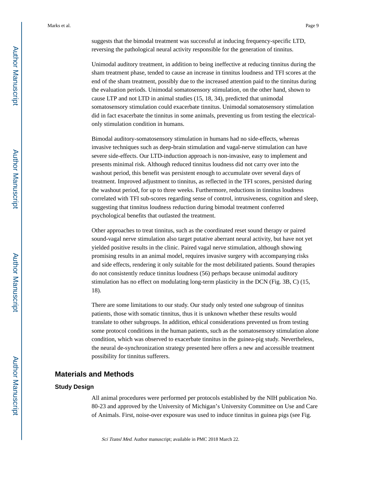suggests that the bimodal treatment was successful at inducing frequency-specific LTD, reversing the pathological neural activity responsible for the generation of tinnitus.

Unimodal auditory treatment, in addition to being ineffective at reducing tinnitus during the sham treatment phase, tended to cause an increase in tinnitus loudness and TFI scores at the end of the sham treatment, possibly due to the increased attention paid to the tinnitus during the evaluation periods. Unimodal somatosensory stimulation, on the other hand, shown to cause LTP and not LTD in animal studies (15, 18, 34), predicted that unimodal somatosensory stimulation could exacerbate tinnitus. Unimodal somatosensory stimulation did in fact exacerbate the tinnitus in some animals, preventing us from testing the electricalonly stimulation condition in humans.

Bimodal auditory-somatosensory stimulation in humans had no side-effects, whereas invasive techniques such as deep-brain stimulation and vagal-nerve stimulation can have severe side-effects. Our LTD-induction approach is non-invasive, easy to implement and presents minimal risk. Although reduced tinnitus loudness did not carry over into the washout period, this benefit was persistent enough to accumulate over several days of treatment. Improved adjustment to tinnitus, as reflected in the TFI scores, persisted during the washout period, for up to three weeks. Furthermore, reductions in tinnitus loudness correlated with TFI sub-scores regarding sense of control, intrusiveness, cognition and sleep, suggesting that tinnitus loudness reduction during bimodal treatment conferred psychological benefits that outlasted the treatment.

Other approaches to treat tinnitus, such as the coordinated reset sound therapy or paired sound-vagal nerve stimulation also target putative aberrant neural activity, but have not yet yielded positive results in the clinic. Paired vagal nerve stimulation, although showing promising results in an animal model, requires invasive surgery with accompanying risks and side effects, rendering it only suitable for the most debilitated patients. Sound therapies do not consistently reduce tinnitus loudness (56) perhaps because unimodal auditory stimulation has no effect on modulating long-term plasticity in the DCN (Fig. 3B, C) (15, 18).

There are some limitations to our study. Our study only tested one subgroup of tinnitus patients, those with somatic tinnitus, thus it is unknown whether these results would translate to other subgroups. In addition, ethical considerations prevented us from testing some protocol conditions in the human patients, such as the somatosensory stimulation alone condition, which was observed to exacerbate tinnitus in the guinea-pig study. Nevertheless, the neural de-synchronization strategy presented here offers a new and accessible treatment possibility for tinnitus sufferers.

### **Materials and Methods**

#### **Study Design**

All animal procedures were performed per protocols established by the NIH publication No. 80-23 and approved by the University of Michigan's University Committee on Use and Care of Animals. First, noise-over exposure was used to induce tinnitus in guinea pigs (see Fig.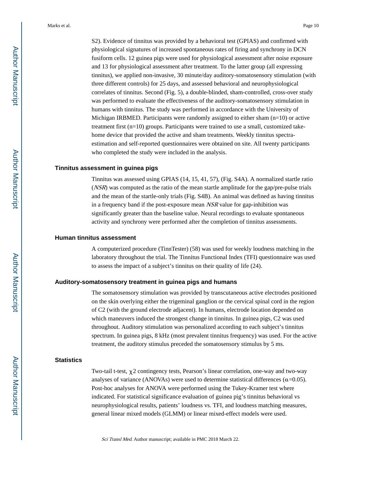S2). Evidence of tinnitus was provided by a behavioral test (GPIAS) and confirmed with physiological signatures of increased spontaneous rates of firing and synchrony in DCN fusiform cells. 12 guinea pigs were used for physiological assessment after noise exposure and 13 for physiological assessment after treatment. To the latter group (all expressing tinnitus), we applied non-invasive, 30 minute/day auditory-somatosensory stimulation (with three different controls) for 25 days, and assessed behavioral and neurophysiological correlates of tinnitus. Second (Fig. 5), a double-blinded, sham-controlled, cross-over study was performed to evaluate the effectiveness of the auditory-somatosensory stimulation in humans with tinnitus. The study was performed in accordance with the University of Michigan IRBMED. Participants were randomly assigned to either sham (n=10) or active treatment first (n=10) groups. Participants were trained to use a small, customized takehome device that provided the active and sham treatments. Weekly tinnitus spectraestimation and self-reported questionnaires were obtained on site. All twenty participants who completed the study were included in the analysis.

#### **Tinnitus assessment in guinea pigs**

Tinnitus was assessed using GPIAS (14, 15, 41, 57), (Fig. S4A). A normalized startle ratio (NSR) was computed as the ratio of the mean startle amplitude for the gap/pre-pulse trials and the mean of the startle-only trials (Fig. S4B). An animal was defined as having tinnitus in a frequency band if the post-exposure mean NSR value for gap-inhibition was significantly greater than the baseline value. Neural recordings to evaluate spontaneous activity and synchrony were performed after the completion of tinnitus assessments.

#### **Human tinnitus assessment**

A computerized procedure (TinnTester) (58) was used for weekly loudness matching in the laboratory throughout the trial. The Tinnitus Functional Index (TFI) questionnaire was used to assess the impact of a subject's tinnitus on their quality of life (24).

#### **Auditory-somatosensory treatment in guinea pigs and humans**

The somatosensory stimulation was provided by transcutaneous active electrodes positioned on the skin overlying either the trigeminal ganglion or the cervical spinal cord in the region of C2 (with the ground electrode adjacent). In humans, electrode location depended on which maneuvers induced the strongest change in tinnitus. In guinea pigs, C2 was used throughout. Auditory stimulation was personalized according to each subject's tinnitus spectrum. In guinea pigs, 8 kHz (most prevalent tinnitus frequency) was used. For the active treatment, the auditory stimulus preceded the somatosensory stimulus by 5 ms.

#### **Statistics**

Two-tail t-test,  $\gamma$ 2 contingency tests, Pearson's linear correlation, one-way and two-way analyses of variance (ANOVAs) were used to determine statistical differences ( $\alpha$ =0.05). Post-hoc analyses for ANOVA were performed using the Tukey-Kramer test where indicated. For statistical significance evaluation of guinea pig's tinnitus behavioral vs neurophysiological results, patients' loudness vs. TFI, and loudness matching measures, general linear mixed models (GLMM) or linear mixed-effect models were used.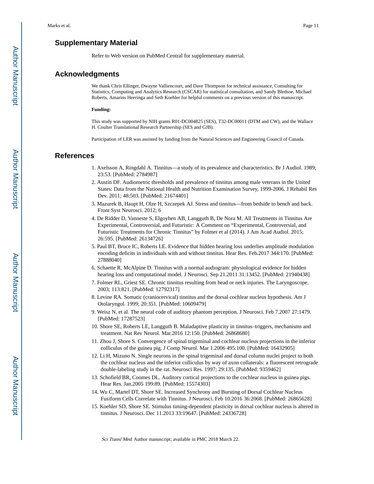## **Supplementary Material**

Refer to Web version on PubMed Central for supplementary material.

## **Acknowledgments**

We thank Chris Ellinger, Dwayne Valliencourt, and Dave Thompson for technical assistance, Consulting for Statistics, Computing and Analytics Research (CSCAR) for statistical consultation, and Sandy Bledsoe, Michael Roberts, Amarins Heeringa and Seth Koehler for helpful comments on a previous version of this manuscript.

#### **Funding:**

This study was supported by NIH grants R01-DC004825 (SES), T32-DC00011 (DTM and CW), and the Wallace H. Coulter Translational Research Partnership (SES and GJB).

Participation of LER was assisted by funding from the Natural Sciences and Engineering Council of Canada.

## **References**

- 1. Axelsson A, Ringdahl A. Tinnitus—a study of its prevalence and characteristics. Br J Audiol. 1989; 23:53. [PubMed: 2784987]
- 2. Austin DF. Audiometric thresholds and prevalence of tinnitus among male veterans in the United States: Data from the National Health and Nutrition Examination Survey, 1999-2006. J Rehabil Res Dev. 2011; 48:503. [PubMed: 21674401]
- 3. Mazurek B, Haupt H, Olze H, Szczepek AJ. Stress and tinnitus—from bedside to bench and back. Front Syst Neurosci. 2012; 6
- 4. De Ridder D, Vanneste S, Elgoyhen AB, Langguth B, De Nora M. All Treatments in Tinnitus Are Experimental, Controversial, and Futuristic: A Comment on "Experimental, Controversial, and Futuristic Treatments for Chronic Tinnitus" by Folmer et al (2014). J Am Acad Audiol. 2015; 26:595. [PubMed: 26134726]
- 5. Paul BT, Bruce IC, Roberts LE. Evidence that hidden hearing loss underlies amplitude modulation encoding deficits in individuals with and without tinnitus. Hear Res. Feb.2017 344:170. [PubMed: 27888040]
- 6. Schaette R, McAlpine D. Tinnitus with a normal audiogram: physiological evidence for hidden hearing loss and computational model. J Neurosci. Sep 21.2011 31:13452. [PubMed: 21940438]
- 7. Folmer RL, Griest SE. Chronic tinnitus resulting from head or neck injuries. The Laryngoscope. 2003; 113:821. [PubMed: 12792317]
- 8. Levine RA. Somatic (craniocervical) tinnitus and the dorsal cochlear nucleus hypothesis. Am J Otolaryngol. 1999; 20:351. [PubMed: 10609479]
- 9. Weisz N, et al. The neural code of auditory phantom perception. J Neurosci. Feb 7.2007 27:1479. [PubMed: 17287523]
- 10. Shore SE, Roberts LE, Langguth B. Maladaptive plasticity in tinnitus–triggers, mechanisms and treatment. Nat Rev Neurol. Mar.2016 12:150. [PubMed: 26868680]
- 11. Zhou J, Shore S. Convergence of spinal trigeminal and cochlear nucleus projections in the inferior colliculus of the guinea pig. J Comp Neurol. Mar 1.2006 495:100. [PubMed: 16432905]
- 12. Li H, Mizuno N. Single neurons in the spinal trigeminal and dorsal column nuclei project to both the cochlear nucleus and the inferior colliculus by way of axon collaterals: a fluorescent retrograde double-labeling study in the rat. Neurosci Res. 1997; 29:135. [PubMed: 9359462]
- 13. Schofield BR, Coomes DL. Auditory cortical projections to the cochlear nucleus in guinea pigs. Hear Res. Jan.2005 199:89. [PubMed: 15574303]
- 14. Wu C, Martel DT, Shore SE. Increased Synchrony and Bursting of Dorsal Cochlear Nucleus Fusiform Cells Correlate with Tinnitus. J Neurosci. Feb 10.2016 36:2068. [PubMed: 26865628]
- 15. Koehler SD, Shore SE. Stimulus timing-dependent plasticity in dorsal cochlear nucleus is altered in tinnitus. J Neurosci. Dec 11.2013 33:19647. [PubMed: 24336728]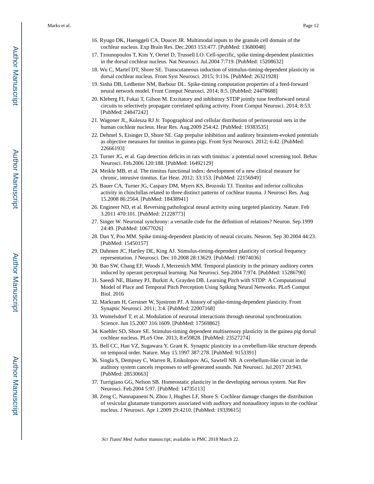- 16. Ryugo DK, Haenggeli CA, Doucet JR. Multimodal inputs to the granule cell domain of the cochlear nucleus. Exp Brain Res. Dec.2003 153:477. [PubMed: 13680048]
- 17. Tzounopoulos T, Kim Y, Oertel D, Trussell LO. Cell-specific, spike timing-dependent plasticities in the dorsal cochlear nucleus. Nat Neurosci. Jul.2004 7:719. [PubMed: 15208632]
- 18. Wu C, Martel DT, Shore SE. Transcutaneous induction of stimulus-timing-dependent plasticity in dorsal cochlear nucleus. Front Syst Neurosci. 2015; 9:116. [PubMed: 26321928]
- 19. Sinha DB, Ledbetter NM, Barbour DL. Spike-timing computation properties of a feed-forward neural network model. Front Comput Neurosci. 2014; 8:5. [PubMed: 24478688]
- 20. Kleberg FI, Fukai T, Gilson M. Excitatory and inhibitory STDP jointly tune feedforward neural circuits to selectively propagate correlated spiking activity. Front Comput Neurosci. 2014; 8:53. [PubMed: 24847242]
- 21. Wagoner JL, Kulesza RJ Jr. Topographical and cellular distribution of perineuronal nets in the human cochlear nucleus. Hear Res. Aug.2009 254:42. [PubMed: 19383535]
- 22. Dehmel S, Eisinger D, Shore SE. Gap prepulse inhibition and auditory brainstem-evoked potentials as objective measures for tinnitus in guinea pigs. Front Syst Neurosci. 2012; 6:42. [PubMed: 22666193]
- 23. Turner JG, et al. Gap detection deficits in rats with tinnitus: a potential novel screening tool. Behav Neurosci. Feb.2006 120:188. [PubMed: 16492129]
- 24. Meikle MB, et al. The tinnitus functional index: development of a new clinical measure for chronic, intrusive tinnitus. Ear Hear. 2012; 33:153. [PubMed: 22156949]
- 25. Bauer CA, Turner JG, Caspary DM, Myers KS, Brozoski TJ. Tinnitus and inferior colliculus activity in chinchillas related to three distinct patterns of cochlear trauma. J Neurosci Res. Aug 15.2008 86:2564. [PubMed: 18438941]
- 26. Engineer ND, et al. Reversing pathological neural activity using targeted plasticity. Nature. Feb 3.2011 470:101. [PubMed: 21228773]
- 27. Singer W. Neuronal synchrony: a versatile code for the definition of relations? Neuron. Sep.1999 24:49. [PubMed: 10677026]
- 28. Dan Y, Poo MM. Spike timing-dependent plasticity of neural circuits. Neuron. Sep 30.2004 44:23. [PubMed: 15450157]
- 29. Dahmen JC, Hartley DE, King AJ. Stimulus-timing-dependent plasticity of cortical frequency representation. J Neurosci. Dec 10.2008 28:13629. [PubMed: 19074036]
- 30. Bao SW, Chang EF, Woods J, Merzenich MM. Temporal plasticity in the primary auditory cortex induced by operant perceptual learning. Nat Neurosci. Sep.2004 7:974. [PubMed: 15286790]
- 31. Saeedi NE, Blamey PJ, Burkitt A, Grayden DB. Learning Pitch with STDP: A Computational Model of Place and Temporal Pitch Perception Using Spiking Neural Networks. PLoS Comput Biol. 2016
- 32. Markram H, Gerstner W, Sjostrom PJ. A history of spike-timing-dependent plasticity. Front Synaptic Neurosci. 2011; 3:4. [PubMed: 22007168]
- 33. Womelsdorf T, et al. Modulation of neuronal interactions through neuronal synchronization. Science. Jun 15.2007 316:1609. [PubMed: 17569862]
- 34. Koehler SD, Shore SE. Stimulus-timing dependent multisensory plasticity in the guinea pig dorsal cochlear nucleus. PLoS One. 2013; 8:e59828. [PubMed: 23527274]
- 35. Bell CC, Han VZ, Sugawara Y, Grant K. Synaptic plasticity in a cerebellum-like structure depends on temporal order. Nature. May 15.1997 387:278. [PubMed: 9153391]
- 36. Singla S, Dempsey C, Warren R, Enikolopov AG, Sawtell NB. A cerebellum-like circuit in the auditory system cancels responses to self-generated sounds. Nat Neurosci. Jul.2017 20:943. [PubMed: 28530663]
- 37. Turrigiano GG, Nelson SB. Homeostatic plasticity in the developing nervous system. Nat Rev Neurosci. Feb.2004 5:97. [PubMed: 14735113]
- 38. Zeng C, Nannapaneni N, Zhou J, Hughes LF, Shore S. Cochlear damage changes the distribution of vesicular glutamate transporters associated with auditory and nonauditory inputs to the cochlear nucleus. J Neurosci. Apr 1.2009 29:4210. [PubMed: 19339615]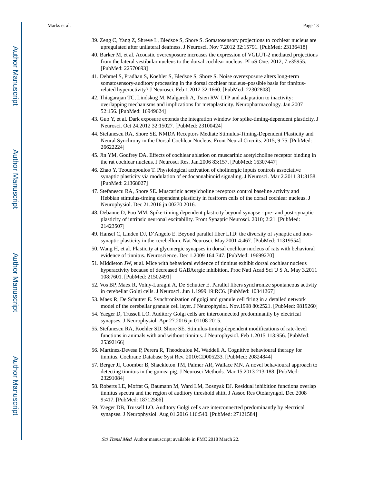- 39. Zeng C, Yang Z, Shreve L, Bledsoe S, Shore S. Somatosensory projections to cochlear nucleus are upregulated after unilateral deafness. J Neurosci. Nov 7.2012 32:15791. [PubMed: 23136418]
- 40. Barker M, et al. Acoustic overexposure increases the expression of VGLUT-2 mediated projections from the lateral vestibular nucleus to the dorsal cochlear nucleus. PLoS One. 2012; 7:e35955. [PubMed: 22570693]
- 41. Dehmel S, Pradhan S, Koehler S, Bledsoe S, Shore S. Noise overexposure alters long-term somatosensory-auditory processing in the dorsal cochlear nucleus–possible basis for tinnitusrelated hyperactivity? J Neurosci. Feb 1.2012 32:1660. [PubMed: 22302808]
- 42. Thiagarajan TC, Lindskog M, Malgaroli A, Tsien RW. LTP and adaptation to inactivity: overlapping mechanisms and implications for metaplasticity. Neuropharmacology. Jan.2007 52:156. [PubMed: 16949624]
- 43. Guo Y, et al. Dark exposure extends the integration window for spike-timing-dependent plasticity. J Neurosci. Oct 24.2012 32:15027. [PubMed: 23100424]
- 44. Stefanescu RA, Shore SE. NMDA Receptors Mediate Stimulus-Timing-Dependent Plasticity and Neural Synchrony in the Dorsal Cochlear Nucleus. Front Neural Circuits. 2015; 9:75. [PubMed: 26622224]
- 45. Jin YM, Godfrey DA. Effects of cochlear ablation on muscarinic acetylcholine receptor binding in the rat cochlear nucleus. J Neurosci Res. Jan.2006 83:157. [PubMed: 16307447]
- 46. Zhao Y, Tzounopoulos T. Physiological activation of cholinergic inputs controls associative synaptic plasticity via modulation of endocannabinoid signaling. J Neurosci. Mar 2.2011 31:3158. [PubMed: 21368027]
- 47. Stefanescu RA, Shore SE. Muscarinic acetylcholine receptors control baseline activity and Hebbian stimulus-timing dependent plasticity in fusiform cells of the dorsal cochlear nucleus. J Neurophysiol. Dec 21.2016 jn 00270 2016.
- 48. Debanne D, Poo MM. Spike-timing dependent plasticity beyond synapse pre- and post-synaptic plasticity of intrinsic neuronal excitability. Front Synaptic Neurosci. 2010; 2:21. [PubMed: 21423507]
- 49. Hansel C, Linden DJ, D'Angelo E. Beyond parallel fiber LTD: the diversity of synaptic and nonsynaptic plasticity in the cerebellum. Nat Neurosci. May.2001 4:467. [PubMed: 11319554]
- 50. Wang H, et al. Plasticity at glycinergic synapses in dorsal cochlear nucleus of rats with behavioral evidence of tinnitus. Neuroscience. Dec 1.2009 164:747. [PubMed: 19699270]
- 51. Middleton JW, et al. Mice with behavioral evidence of tinnitus exhibit dorsal cochlear nucleus hyperactivity because of decreased GABAergic inhibition. Proc Natl Acad Sci U S A. May 3.2011 108:7601. [PubMed: 21502491]
- 52. Vos BP, Maex R, Volny-Luraghi A, De Schutter E. Parallel fibers synchronize spontaneous activity in cerebellar Golgi cells. J Neurosci. Jun 1.1999 19:RC6. [PubMed: 10341267]
- 53. Maex R, De Schutter E. Synchronization of golgi and granule cell firing in a detailed network model of the cerebellar granule cell layer. J Neurophysiol. Nov.1998 80:2521. [PubMed: 9819260]
- 54. Yaeger D, Trussell LO. Auditory Golgi cells are interconnected predominantly by electrical synapses. J Neurophysiol. Apr 27.2016 jn 01108 2015.
- 55. Stefanescu RA, Koehler SD, Shore SE. Stimulus-timing-dependent modifications of rate-level functions in animals with and without tinnitus. J Neurophysiol. Feb 1.2015 113:956. [PubMed: 25392166]
- 56. Martinez-Devesa P, Perera R, Theodoulou M, Waddell A. Cognitive behavioural therapy for tinnitus. Cochrane Database Syst Rev. 2010:CD005233. [PubMed: 20824844]
- 57. Berger JI, Coomber B, Shackleton TM, Palmer AR, Wallace MN. A novel behavioural approach to detecting tinnitus in the guinea pig. J Neurosci Methods. Mar 15.2013 213:188. [PubMed: 23291084]
- 58. Roberts LE, Moffat G, Baumann M, Ward LM, Bosnyak DJ. Residual inhibition functions overlap tinnitus spectra and the region of auditory threshold shift. J Assoc Res Otolaryngol. Dec.2008 9:417. [PubMed: 18712566]
- 59. Yaeger DB, Trussell LO. Auditory Golgi cells are interconnected predominantly by electrical synapses. J Neurophysiol. Aug 01.2016 116:540. [PubMed: 27121584]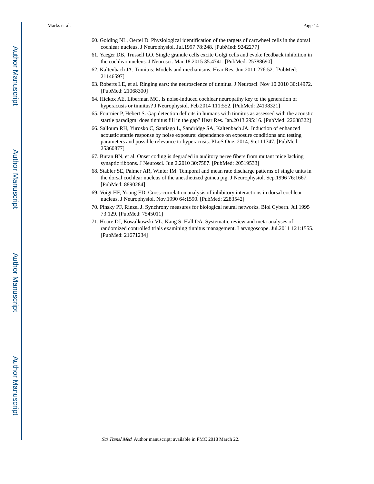- 60. Golding NL, Oertel D. Physiological identification of the targets of cartwheel cells in the dorsal cochlear nucleus. J Neurophysiol. Jul.1997 78:248. [PubMed: 9242277]
- 61. Yaeger DB, Trussell LO. Single granule cells excite Golgi cells and evoke feedback inhibition in the cochlear nucleus. J Neurosci. Mar 18.2015 35:4741. [PubMed: 25788690]
- 62. Kaltenbach JA. Tinnitus: Models and mechanisms. Hear Res. Jun.2011 276:52. [PubMed: 21146597]
- 63. Roberts LE, et al. Ringing ears: the neuroscience of tinnitus. J Neurosci. Nov 10.2010 30:14972. [PubMed: 21068300]
- 64. Hickox AE, Liberman MC. Is noise-induced cochlear neuropathy key to the generation of hyperacusis or tinnitus? J Neurophysiol. Feb.2014 111:552. [PubMed: 24198321]
- 65. Fournier P, Hebert S. Gap detection deficits in humans with tinnitus as assessed with the acoustic startle paradigm: does tinnitus fill in the gap? Hear Res. Jan.2013 295:16. [PubMed: 22688322]
- 66. Salloum RH, Yurosko C, Santiago L, Sandridge SA, Kaltenbach JA. Induction of enhanced acoustic startle response by noise exposure: dependence on exposure conditions and testing parameters and possible relevance to hyperacusis. PLoS One. 2014; 9:e111747. [PubMed: 25360877]
- 67. Buran BN, et al. Onset coding is degraded in auditory nerve fibers from mutant mice lacking synaptic ribbons. J Neurosci. Jun 2.2010 30:7587. [PubMed: 20519533]
- 68. Stabler SE, Palmer AR, Winter IM. Temporal and mean rate discharge patterns of single units in the dorsal cochlear nucleus of the anesthetized guinea pig. J Neurophysiol. Sep.1996 76:1667. [PubMed: 8890284]
- 69. Voigt HF, Young ED. Cross-correlation analysis of inhibitory interactions in dorsal cochlear nucleus. J Neurophysiol. Nov.1990 64:1590. [PubMed: 2283542]
- 70. Pinsky PF, Rinzel J. Synchrony measures for biological neural networks. Biol Cybern. Jul.1995 73:129. [PubMed: 7545011]
- 71. Hoare DJ, Kowalkowski VL, Kang S, Hall DA. Systematic review and meta-analyses of randomized controlled trials examining tinnitus management. Laryngoscope. Jul.2011 121:1555. [PubMed: 21671234]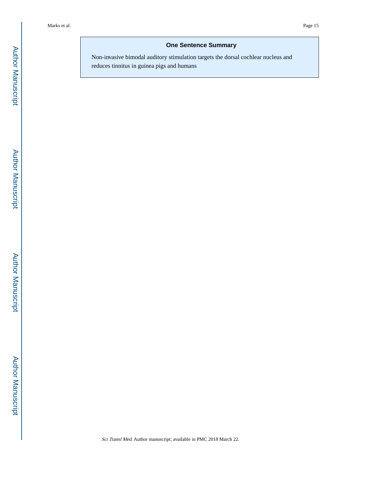## **One Sentence Summary**

Non-invasive bimodal auditory stimulation targets the dorsal cochlear nucleus and reduces tinnitus in guinea pigs and humans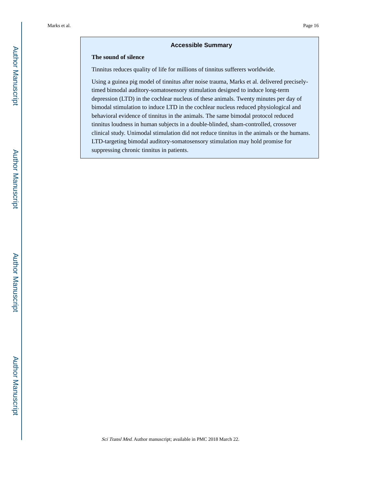#### **Accessible Summary**

#### **The sound of silence**

Tinnitus reduces quality of life for millions of tinnitus sufferers worldwide.

Using a guinea pig model of tinnitus after noise trauma, Marks et al. delivered preciselytimed bimodal auditory-somatosensory stimulation designed to induce long-term depression (LTD) in the cochlear nucleus of these animals. Twenty minutes per day of bimodal stimulation to induce LTD in the cochlear nucleus reduced physiological and behavioral evidence of tinnitus in the animals. The same bimodal protocol reduced tinnitus loudness in human subjects in a double-blinded, sham-controlled, crossover clinical study. Unimodal stimulation did not reduce tinnitus in the animals or the humans. LTD-targeting bimodal auditory-somatosensory stimulation may hold promise for suppressing chronic tinnitus in patients.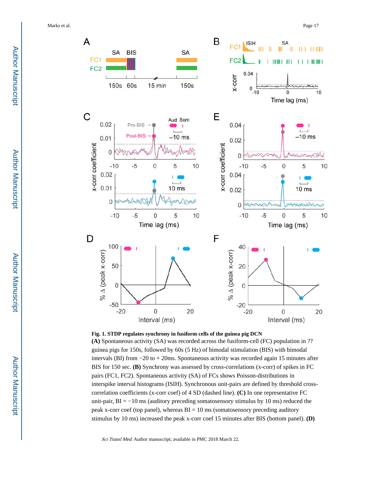Marks et al. Page 17





**(A)** Spontaneous activity (SA) was recorded across the fusiform-cell (FC) population in ?? guinea pigs for 150s, followed by 60s (5 Hz) of bimodal stimulation (BIS) with bimodal intervals (BI) from −20 to + 20ms. Spontaneous activity was recorded again 15 minutes after BIS for 150 sec. **(B)** Synchrony was assessed by cross-correlations (x-corr) of spikes in FC pairs (FC1, FC2). Spontaneous activity (SA) of FCs shows Poisson-distributions in interspike interval histograms (ISIH). Synchronous unit-pairs are defined by threshold crosscorrelation coefficients (x-corr coef) of 4 SD (dashed line). **(C)** In one representative FC unit-pair,  $BI = -10$  ms (auditory preceding somatosensory stimulus by 10 ms) reduced the peak x-corr coef (top panel), whereas  $BI = 10$  ms (somatosensory preceding auditory stimulus by 10 ms) increased the peak x-corr coef 15 minutes after BIS (bottom panel). **(D)**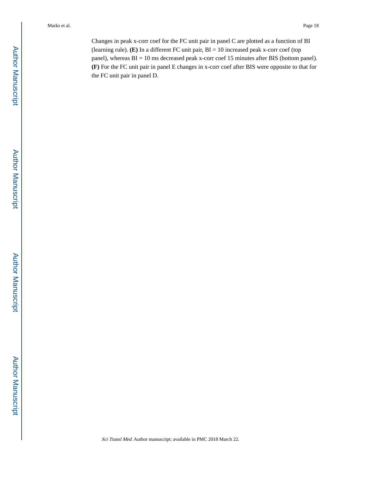Changes in peak x-corr coef for the FC unit pair in panel C are plotted as a function of BI (learning rule). **(E)** In a different FC unit pair, BI = 10 increased peak x-corr coef (top panel), whereas BI = 10 ms decreased peak x-corr coef 15 minutes after BIS (bottom panel). **(F)** For the FC unit pair in panel E changes in x-corr coef after BIS were opposite to that for the FC unit pair in panel D.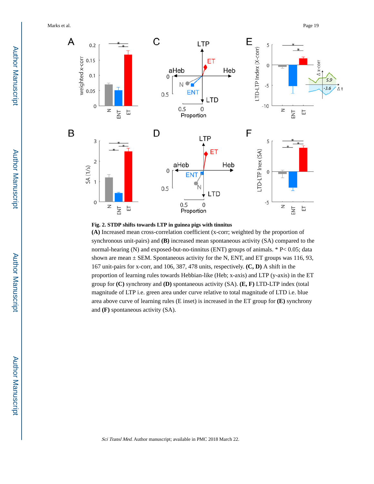Marks et al. Page 19



**Fig. 2. STDP shifts towards LTP in guinea pigs with tinnitus**

**(A)** Increased mean cross-correlation coefficient (x-corr; weighted by the proportion of synchronous unit-pairs) and **(B)** increased mean spontaneous activity (SA) compared to the normal-hearing (N) and exposed-but-no-tinnitus (ENT) groups of animals. \* P< 0.05; data shown are mean  $\pm$  SEM. Spontaneous activity for the N, ENT, and ET groups was 116, 93, 167 unit-pairs for x-corr, and 106, 387, 478 units, respectively. **(C, D)** A shift in the proportion of learning rules towards Hebbian-like (Heb; x-axis) and LTP (y-axis) in the ET group for **(C)** synchrony and **(D)** spontaneous activity (SA). **(E, F)** LTD-LTP index (total magnitude of LTP i.e. green area under curve relative to total magnitude of LTD i.e. blue area above curve of learning rules (E inset) is increased in the ET group for **(E)** synchrony and **(F)** spontaneous activity (SA).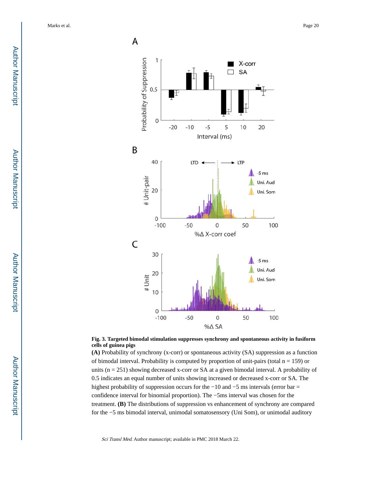



**(A)** Probability of synchrony (x-corr) or spontaneous activity (SA) suppression as a function of bimodal interval. Probability is computed by proportion of unit-pairs (total  $n = 159$ ) or units (n = 251) showing decreased x-corr or SA at a given bimodal interval. A probability of 0.5 indicates an equal number of units showing increased or decreased x-corr or SA. The highest probability of suppression occurs for the −10 and −5 ms intervals (error bar = confidence interval for binomial proportion). The −5ms interval was chosen for the treatment. **(B)** The distributions of suppression vs enhancement of synchrony are compared for the −5 ms bimodal interval, unimodal somatosensory (Uni Som), or unimodal auditory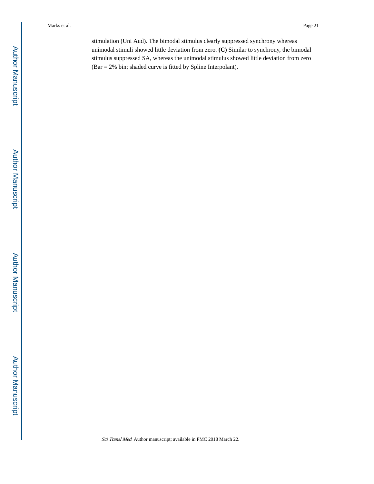stimulation (Uni Aud). The bimodal stimulus clearly suppressed synchrony whereas unimodal stimuli showed little deviation from zero. **(C)** Similar to synchrony, the bimodal stimulus suppressed SA, whereas the unimodal stimulus showed little deviation from zero (Bar = 2% bin; shaded curve is fitted by Spline Interpolant).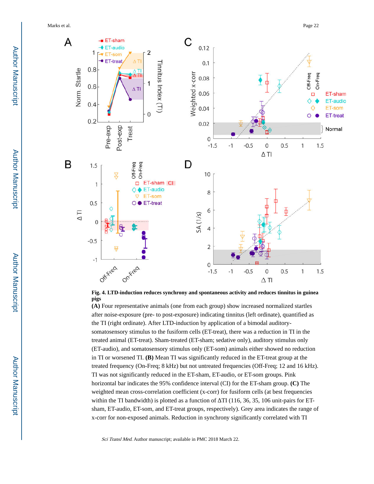Marks et al. Page 22





**(A)** Four representative animals (one from each group) show increased normalized startles after noise-exposure (pre- to post-exposure) indicating tinnitus (left ordinate), quantified as the TI (right ordinate). After LTD-induction by application of a bimodal auditorysomatosensory stimulus to the fusiform cells (ET-treat), there was a reduction in TI in the treated animal (ET-treat). Sham-treated (ET-sham; sedative only), auditory stimulus only (ET-audio), and somatosensory stimulus only (ET-som) animals either showed no reduction in TI or worsened TI. **(B)** Mean TI was significantly reduced in the ET-treat group at the treated frequency (On-Freq; 8 kHz) but not untreated frequencies (Off-Freq; 12 and 16 kHz). TI was not significantly reduced in the ET-sham, ET-audio, or ET-som groups. Pink horizontal bar indicates the 95% confidence interval (CI) for the ET-sham group. **(C)** The weighted mean cross-correlation coefficient (x-corr) for fusiform cells (at best frequencies within the TI bandwidth) is plotted as a function of TI (116, 36, 35, 106 unit-pairs for ETsham, ET-audio, ET-som, and ET-treat groups, respectively). Grey area indicates the range of x-corr for non-exposed animals. Reduction in synchrony significantly correlated with TI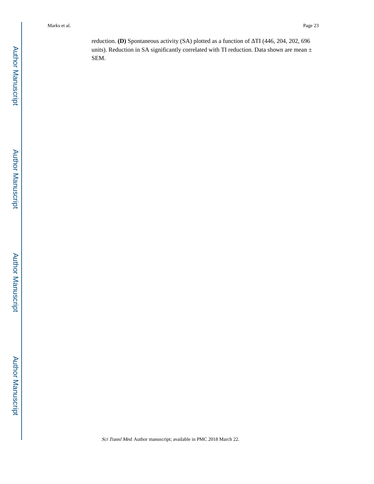reduction. **(D)** Spontaneous activity (SA) plotted as a function of TI (446, 204, 202, 696 units). Reduction in SA significantly correlated with TI reduction. Data shown are mean  $\pm$ SEM.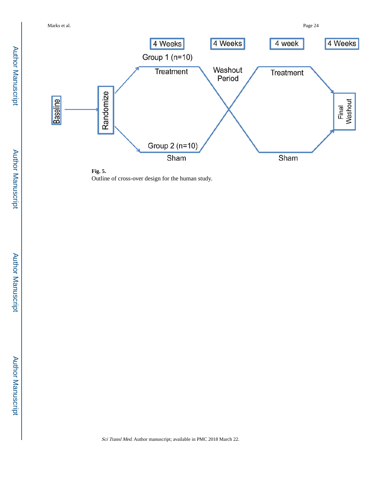



Sci Transl Med. Author manuscript; available in PMC 2018 March 22.

Author Manuscript Author Manuscript